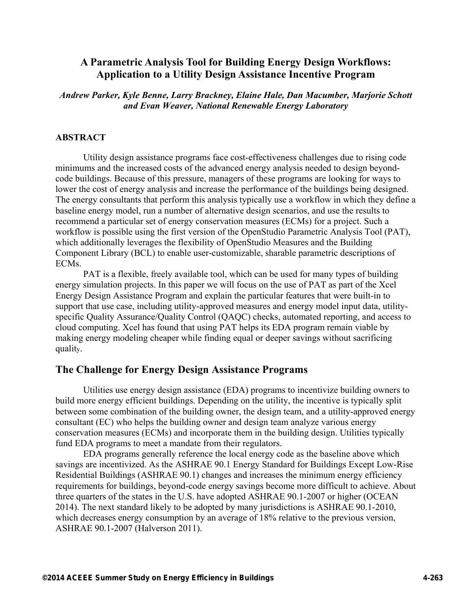# **A Parametric Analysis Tool for Building Energy Design Workflows: Application to a Utility Design Assistance Incentive Program**

*Andrew Parker, Kyle Benne, Larry Brackney, Elaine Hale, Dan Macumber, Marjorie Schott and Evan Weaver, National Renewable Energy Laboratory* 

#### **ABSTRACT**

Utility design assistance programs face cost-effectiveness challenges due to rising code minimums and the increased costs of the advanced energy analysis needed to design beyondcode buildings. Because of this pressure, managers of these programs are looking for ways to lower the cost of energy analysis and increase the performance of the buildings being designed. The energy consultants that perform this analysis typically use a workflow in which they define a baseline energy model, run a number of alternative design scenarios, and use the results to recommend a particular set of energy conservation measures (ECMs) for a project. Such a workflow is possible using the first version of the OpenStudio Parametric Analysis Tool (PAT), which additionally leverages the flexibility of OpenStudio Measures and the Building Component Library (BCL) to enable user-customizable, sharable parametric descriptions of ECMs.

PAT is a flexible, freely available tool, which can be used for many types of building energy simulation projects. In this paper we will focus on the use of PAT as part of the Xcel Energy Design Assistance Program and explain the particular features that were built-in to support that use case, including utility-approved measures and energy model input data, utilityspecific Quality Assurance/Quality Control (QAQC) checks, automated reporting, and access to cloud computing. Xcel has found that using PAT helps its EDA program remain viable by making energy modeling cheaper while finding equal or deeper savings without sacrificing quality.

### **The Challenge for Energy Design Assistance Programs**

Utilities use energy design assistance (EDA) programs to incentivize building owners to build more energy efficient buildings. Depending on the utility, the incentive is typically split between some combination of the building owner, the design team, and a utility-approved energy consultant (EC) who helps the building owner and design team analyze various energy conservation measures (ECMs) and incorporate them in the building design. Utilities typically fund EDA programs to meet a mandate from their regulators.

EDA programs generally reference the local energy code as the baseline above which savings are incentivized. As the ASHRAE 90.1 Energy Standard for Buildings Except Low-Rise Residential Buildings (ASHRAE 90.1) changes and increases the minimum energy efficiency requirements for buildings, beyond-code energy savings become more difficult to achieve. About three quarters of the states in the U.S. have adopted ASHRAE 90.1-2007 or higher (OCEAN 2014). The next standard likely to be adopted by many jurisdictions is ASHRAE 90.1-2010, which decreases energy consumption by an average of 18% relative to the previous version, ASHRAE 90.1-2007 (Halverson 2011).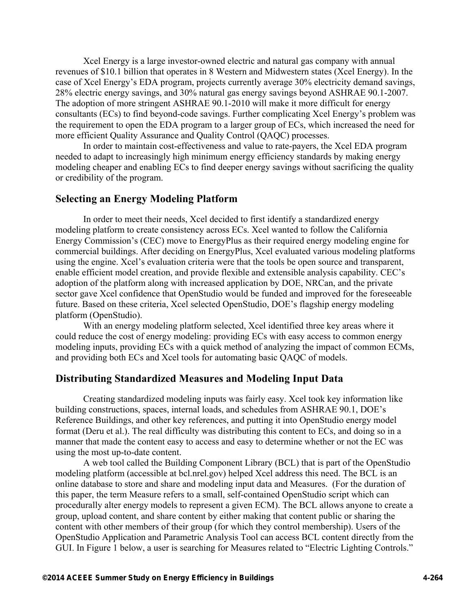Xcel Energy is a large investor-owned electric and natural gas company with annual revenues of \$10.1 billion that operates in 8 Western and Midwestern states (Xcel Energy). In the case of Xcel Energy's EDA program, projects currently average 30% electricity demand savings, 28% electric energy savings, and 30% natural gas energy savings beyond ASHRAE 90.1-2007. The adoption of more stringent ASHRAE 90.1-2010 will make it more difficult for energy consultants (ECs) to find beyond-code savings. Further complicating Xcel Energy's problem was the requirement to open the EDA program to a larger group of ECs, which increased the need for more efficient Quality Assurance and Quality Control (QAQC) processes.

In order to maintain cost-effectiveness and value to rate-payers, the Xcel EDA program needed to adapt to increasingly high minimum energy efficiency standards by making energy modeling cheaper and enabling ECs to find deeper energy savings without sacrificing the quality or credibility of the program.

### **Selecting an Energy Modeling Platform**

In order to meet their needs, Xcel decided to first identify a standardized energy modeling platform to create consistency across ECs. Xcel wanted to follow the California Energy Commission's (CEC) move to EnergyPlus as their required energy modeling engine for commercial buildings. After deciding on EnergyPlus, Xcel evaluated various modeling platforms using the engine. Xcel's evaluation criteria were that the tools be open source and transparent, enable efficient model creation, and provide flexible and extensible analysis capability. CEC's adoption of the platform along with increased application by DOE, NRCan, and the private sector gave Xcel confidence that OpenStudio would be funded and improved for the foreseeable future. Based on these criteria, Xcel selected OpenStudio, DOE's flagship energy modeling platform (OpenStudio).

With an energy modeling platform selected, Xcel identified three key areas where it could reduce the cost of energy modeling: providing ECs with easy access to common energy modeling inputs, providing ECs with a quick method of analyzing the impact of common ECMs, and providing both ECs and Xcel tools for automating basic QAQC of models.

### **Distributing Standardized Measures and Modeling Input Data**

Creating standardized modeling inputs was fairly easy. Xcel took key information like building constructions, spaces, internal loads, and schedules from ASHRAE 90.1, DOE's Reference Buildings, and other key references, and putting it into OpenStudio energy model format (Deru et al.). The real difficulty was distributing this content to ECs, and doing so in a manner that made the content easy to access and easy to determine whether or not the EC was using the most up-to-date content.

A web tool called the Building Component Library (BCL) that is part of the OpenStudio modeling platform (accessible at bcl.nrel.gov) helped Xcel address this need. The BCL is an online database to store and share and modeling input data and Measures. (For the duration of this paper, the term Measure refers to a small, self-contained OpenStudio script which can procedurally alter energy models to represent a given ECM). The BCL allows anyone to create a group, upload content, and share content by either making that content public or sharing the content with other members of their group (for which they control membership). Users of the OpenStudio Application and Parametric Analysis Tool can access BCL content directly from the GUI. In Figure 1 below, a user is searching for Measures related to "Electric Lighting Controls."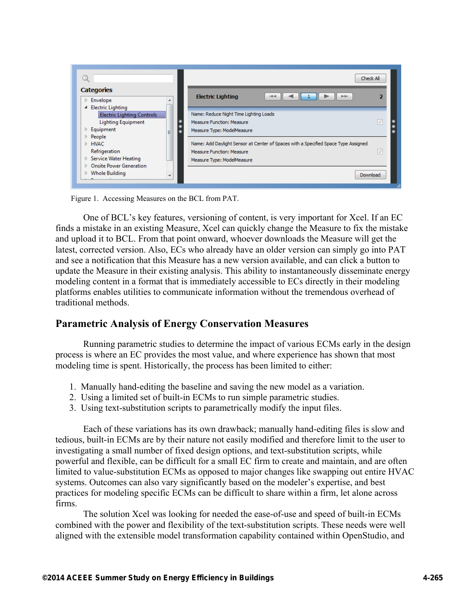

Figure 1. Accessing Measures on the BCL from PAT.

One of BCL's key features, versioning of content, is very important for Xcel. If an EC finds a mistake in an existing Measure, Xcel can quickly change the Measure to fix the mistake and upload it to BCL. From that point onward, whoever downloads the Measure will get the latest, corrected version. Also, ECs who already have an older version can simply go into PAT and see a notification that this Measure has a new version available, and can click a button to update the Measure in their existing analysis. This ability to instantaneously disseminate energy modeling content in a format that is immediately accessible to ECs directly in their modeling platforms enables utilities to communicate information without the tremendous overhead of traditional methods.

# **Parametric Analysis of Energy Conservation Measures**

Running parametric studies to determine the impact of various ECMs early in the design process is where an EC provides the most value, and where experience has shown that most modeling time is spent. Historically, the process has been limited to either:

- 1. Manually hand-editing the baseline and saving the new model as a variation.
- 2. Using a limited set of built-in ECMs to run simple parametric studies.
- 3. Using text-substitution scripts to parametrically modify the input files.

Each of these variations has its own drawback; manually hand-editing files is slow and tedious, built-in ECMs are by their nature not easily modified and therefore limit to the user to investigating a small number of fixed design options, and text-substitution scripts, while powerful and flexible, can be difficult for a small EC firm to create and maintain, and are often limited to value-substitution ECMs as opposed to major changes like swapping out entire HVAC systems. Outcomes can also vary significantly based on the modeler's expertise, and best practices for modeling specific ECMs can be difficult to share within a firm, let alone across firms.

The solution Xcel was looking for needed the ease-of-use and speed of built-in ECMs combined with the power and flexibility of the text-substitution scripts. These needs were well aligned with the extensible model transformation capability contained within OpenStudio, and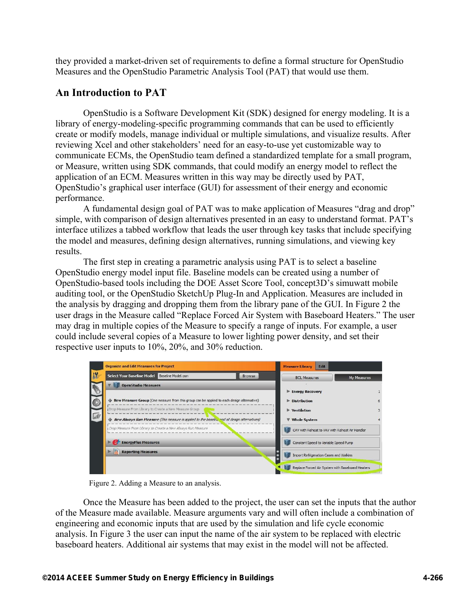they provided a market-driven set of requirements to define a formal structure for OpenStudio Measures and the OpenStudio Parametric Analysis Tool (PAT) that would use them.

# **An Introduction to PAT**

OpenStudio is a Software Development Kit (SDK) designed for energy modeling. It is a library of energy-modeling-specific programming commands that can be used to efficiently create or modify models, manage individual or multiple simulations, and visualize results. After reviewing Xcel and other stakeholders' need for an easy-to-use yet customizable way to communicate ECMs, the OpenStudio team defined a standardized template for a small program, or Measure, written using SDK commands, that could modify an energy model to reflect the application of an ECM. Measures written in this way may be directly used by PAT, OpenStudio's graphical user interface (GUI) for assessment of their energy and economic performance.

A fundamental design goal of PAT was to make application of Measures "drag and drop" simple, with comparison of design alternatives presented in an easy to understand format. PAT's interface utilizes a tabbed workflow that leads the user through key tasks that include specifying the model and measures, defining design alternatives, running simulations, and viewing key results.

The first step in creating a parametric analysis using PAT is to select a baseline OpenStudio energy model input file. Baseline models can be created using a number of OpenStudio-based tools including the DOE Asset Score Tool, concept3D's simuwatt mobile auditing tool, or the OpenStudio SketchUp Plug-In and Application. Measures are included in the analysis by dragging and dropping them from the library pane of the GUI. In Figure 2 the user drags in the Measure called "Replace Forced Air System with Baseboard Heaters." The user may drag in multiple copies of the Measure to specify a range of inputs. For example, a user could include several copies of a Measure to lower lighting power density, and set their respective user inputs to 10%, 20%, and 30% reduction.

| <b>Organize and Edit Measures for Project</b>                                                | <b>Measure Library</b><br><b>Edit</b>            |             |
|----------------------------------------------------------------------------------------------|--------------------------------------------------|-------------|
| <b>Select Your Baseline Model</b><br>Baseline Model.osm<br>Browse                            | <b>BCL Measures</b>                              | My Measures |
| <b>OpenStudio Measures</b>                                                                   |                                                  |             |
|                                                                                              | <b>Energy Recovery</b>                           |             |
| New Measure Group (One measure from this group can be applied to each design alternative)    | <b>Distribution</b>                              |             |
| Drop Measure From Library to Create a New Measure Group                                      | ▶ Ventilation                                    |             |
| New Always Run Measure (This measure is applied to the baseling and all design alternatives) | <b>Whole System</b>                              |             |
| Drop Measure From Library to Create a New Always Run Measure                                 | CAV with Reheat to VAV with Reheat Air Handler   |             |
| <b>EnergyPlus Measures</b>                                                                   | Constant Speed to Variable Speed Pump            |             |
| <b>Reporting Measures</b>                                                                    | Import Refrigeration Cases and Walkins           |             |
|                                                                                              | Replace Forced Air System with Baseboard Heaters |             |

Figure 2. Adding a Measure to an analysis.

Once the Measure has been added to the project, the user can set the inputs that the author of the Measure made available. Measure arguments vary and will often include a combination of engineering and economic inputs that are used by the simulation and life cycle economic analysis. In Figure 3 the user can input the name of the air system to be replaced with electric baseboard heaters. Additional air systems that may exist in the model will not be affected.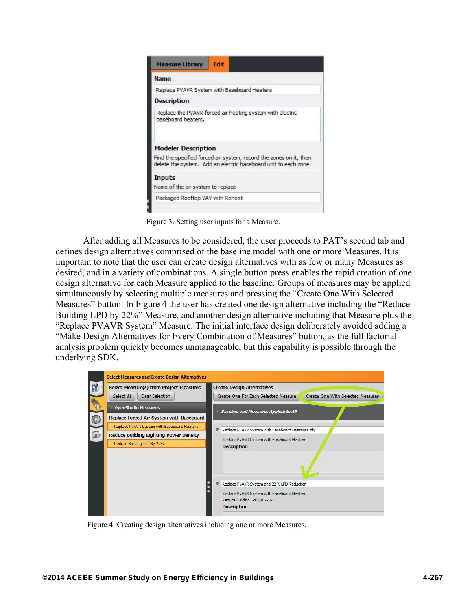

Figure 3. Setting user inputs for a Measure.

After adding all Measures to be considered, the user proceeds to PAT's second tab and defines design alternatives comprised of the baseline model with one or more Measures. It is important to note that the user can create design alternatives with as few or many Measures as desired, and in a variety of combinations. A single button press enables the rapid creation of one design alternative for each Measure applied to the baseline. Groups of measures may be applied simultaneously by selecting multiple measures and pressing the "Create One With Selected Measures" button. In Figure 4 the user has created one design alternative including the "Reduce Building LPD by 22%" Measure, and another design alternative including that Measure plus the "Replace PVAVR System" Measure. The initial interface design deliberately avoided adding a "Make Design Alternatives for Every Combination of Measures" button, as the full factorial analysis problem quickly becomes unmanageable, but this capability is possible through the underlying SDK.



Figure 4. Creating design alternatives including one or more Measures.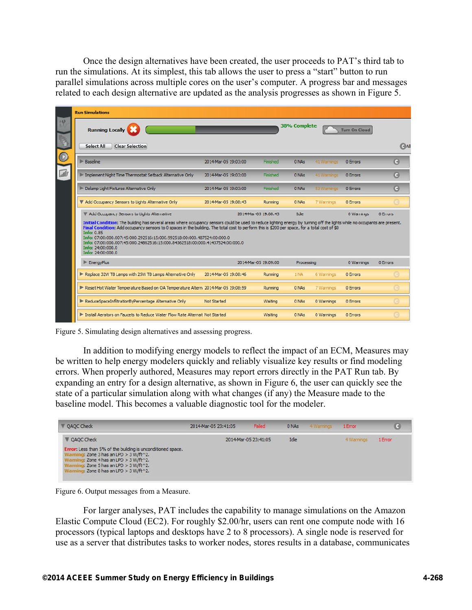Once the design alternatives have been created, the user proceeds to PAT's third tab to run the simulations. At its simplest, this tab allows the user to press a "start" button to run parallel simulations across multiple cores on the user's computer. A progress bar and messages related to each design alternative are updated as the analysis progresses as shown in Figure 5.

|              | <b>Run Simulations</b>                                                                                                                                                                                                                                                                                                                                                                                                                                                                                                                                 |                      |                      |                     |             |                      |               |
|--------------|--------------------------------------------------------------------------------------------------------------------------------------------------------------------------------------------------------------------------------------------------------------------------------------------------------------------------------------------------------------------------------------------------------------------------------------------------------------------------------------------------------------------------------------------------------|----------------------|----------------------|---------------------|-------------|----------------------|---------------|
| 19           | <b>Running Locally</b>                                                                                                                                                                                                                                                                                                                                                                                                                                                                                                                                 |                      |                      | <b>38% Complete</b> |             | <b>Turn On Cloud</b> |               |
|              | Select All<br><b>Clear Selection</b>                                                                                                                                                                                                                                                                                                                                                                                                                                                                                                                   |                      |                      |                     |             |                      | $\bigcirc$ Al |
|              | Baseline                                                                                                                                                                                                                                                                                                                                                                                                                                                                                                                                               | 2014-Mar-05 19:03:00 | Finished             | 0 NAs               | 41 Warnings | 0 Errors             | G             |
| $\mathbb{L}$ | Implement Night Time Thermostat Setback Alternative Only                                                                                                                                                                                                                                                                                                                                                                                                                                                                                               | 2014-Mar-05 19:03:00 | Finished             | 0 NAs               | 41 Warnings | 0 Errors             | G             |
|              | Delamp Light Fixtures Alternative Only                                                                                                                                                                                                                                                                                                                                                                                                                                                                                                                 | 2014-Mar-05 19:03:00 | Finished             | 0 NAs               | 53 Warnings | 0 Errors             | G             |
|              | Add Occupancy Sensors to Lights Alternative Only                                                                                                                                                                                                                                                                                                                                                                                                                                                                                                       | 2014-Mar-05 19:08:43 | Running              | 0 NAs               | 7 Warnings  | 0 Errors             | œ             |
|              | Add Occupancy Sensors to Lights Alternative                                                                                                                                                                                                                                                                                                                                                                                                                                                                                                            |                      | 2014-Mar-05 19:08:43 | Idle                |             | 0 Warnings           | 0 Errors      |
|              | Initial Condition: The building has several areas where occupancy sensors could be used to reduce lighting energy by turning off the lights while no occupants are present.<br>Final Condition: Add occupancy sensors to 0 spaces in the building. The total cost to perform this is \$200 per space, for a total cost of \$0<br><b>Info: 0.85</b><br>Info: 07:00:000.007:45:000.292516:15:000.992518:00:000.487524:00:000.0<br>Info: 07:00:000.007:45:000.24862516:15:000.84362518:00:000.41437524:00:000.0<br>Info: 24:00:000.0<br>Info: 24:00:000.0 |                      |                      |                     |             |                      |               |
|              | $\blacktriangleright$ EnergyPlus                                                                                                                                                                                                                                                                                                                                                                                                                                                                                                                       |                      | 2014-Mar-05 19:09:00 | Processing          |             | 0 Warnings           | 0 Errors      |
|              | Replace 32W T8 Lamps with 25W T8 Lamps Alternative Only                                                                                                                                                                                                                                                                                                                                                                                                                                                                                                | 2014-Mar-05 19:08:46 | Running              | 1 NA                | 6 Warnings  | 0 Errors             | o             |
|              | Reset Hot Water Temperature Based on OA Temperature Altern. 2014-Mar-05 19:08:59                                                                                                                                                                                                                                                                                                                                                                                                                                                                       |                      | Running              | 0 NAs               | 7 Warnings  | 0 Errors             | G             |
|              | ReduceSpaceInfiltrationByPercentage Alternative Only                                                                                                                                                                                                                                                                                                                                                                                                                                                                                                   | <b>Not Started</b>   | Waiting              | 0 NAs               | 0 Warnings  | 0 Errors             | G             |
|              | Install Aerators on Faucets to Reduce Water Flow Rate Alternat Not Started                                                                                                                                                                                                                                                                                                                                                                                                                                                                             |                      | Waiting              | 0 NAs               | 0 Warnings  | 0 Errors             | G             |

Figure 5. Simulating design alternatives and assessing progress.

In addition to modifying energy models to reflect the impact of an ECM, Measures may be written to help energy modelers quickly and reliably visualize key results or find modeling errors. When properly authored, Measures may report errors directly in the PAT Run tab. By expanding an entry for a design alternative, as shown in Figure 6, the user can quickly see the state of a particular simulation along with what changes (if any) the Measure made to the baseline model. This becomes a valuable diagnostic tool for the modeler.

| <b>V</b> OAOC Check                                                                                                                                                                                               | 2014-Mar-05 23:41:05 | Failed               | 0 NAs | 4 Warnings | 1 Error    | G       |
|-------------------------------------------------------------------------------------------------------------------------------------------------------------------------------------------------------------------|----------------------|----------------------|-------|------------|------------|---------|
| <b>V</b> QAQC Check<br>Error: Less than 5% of the building is unconditioned space.<br>$\overline{\text{ind}}$ : Zone 3 has an LPD > 3 W/ft $^2$ 2.<br>Warni<br>ing: Zone 4 has an LPD $>$ 3 W/ft $^2$ 2.<br>Warni |                      | 2014-Mar-05 23:41:05 | Idle  |            | 4 Warnings | 1 Error |
| $nq$ : Zone 5 has an LPD > 3 W/ft $^2$ 2.<br>Warni<br>Warning: Zone 8 has an LPD $>$ 3 W/ft $^2$ 2.                                                                                                               |                      |                      |       |            |            |         |

Figure 6. Output messages from a Measure.

For larger analyses, PAT includes the capability to manage simulations on the Amazon Elastic Compute Cloud (EC2). For roughly \$2.00/hr, users can rent one compute node with 16 processors (typical laptops and desktops have 2 to 8 processors). A single node is reserved for use as a server that distributes tasks to worker nodes, stores results in a database, communicates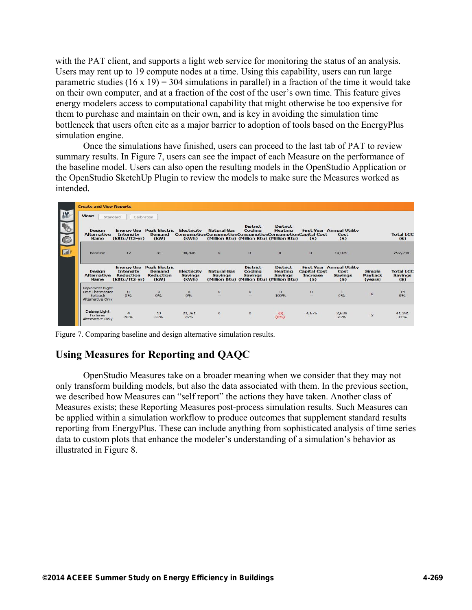with the PAT client, and supports a light web service for monitoring the status of an analysis. Users may rent up to 19 compute nodes at a time. Using this capability, users can run large parametric studies  $(16 \times 19) = 304$  simulations in parallel) in a fraction of the time it would take on their own computer, and at a fraction of the cost of the user's own time. This feature gives energy modelers access to computational capability that might otherwise be too expensive for them to purchase and maintain on their own, and is key in avoiding the simulation time bottleneck that users often cite as a major barrier to adoption of tools based on the EnergyPlus simulation engine.

Once the simulations have finished, users can proceed to the last tab of PAT to review summary results. In Figure 7, users can see the impact of each Measure on the performance of the baseline model. Users can also open the resulting models in the OpenStudio Application or the OpenStudio SketchUp Plugin to review the models to make sure the Measures worked as intended.

| View:                                                                           | Calibration<br>Standard                                                    |                                                            |                                        |                                                                                |                                                                                                  |                                                     |                                               |                                                                   |                                     |                                           |
|---------------------------------------------------------------------------------|----------------------------------------------------------------------------|------------------------------------------------------------|----------------------------------------|--------------------------------------------------------------------------------|--------------------------------------------------------------------------------------------------|-----------------------------------------------------|-----------------------------------------------|-------------------------------------------------------------------|-------------------------------------|-------------------------------------------|
| <b>Design</b><br><b>Alternative</b><br><b>Name</b>                              | <b>Intensity</b><br>(kBtu/ft2-yr)                                          | <b>Energy Use Peak Electric</b><br>Demand<br>(kW)          | Electricity<br>(kWh)                   | <b>Natural Gas</b><br>ConsumptionConsumptionConsumptionConsumptionCapital Cost | <b>District</b><br>Cooling<br>(Million Btu) (Million Btu) (Million Btu)                          | <b>District</b><br>Heating                          | (s)                                           | <b>First Year Annual Utility</b><br>Cost<br>(s)                   |                                     | <b>Total LCC</b><br>(s)                   |
| Baseline                                                                        | 17                                                                         | 31                                                         | 90,436                                 | $\circ$                                                                        | $\sigma$                                                                                         | $\circ$                                             | $\Omega$                                      | 10,039                                                            |                                     | 292,218                                   |
| <b>Design</b><br><b>Alternative</b><br><b>Name</b>                              | <b>Energy Use</b><br><b>Intensity</b><br><b>Reduction</b><br>(kBtu/ft2-yr) | <b>Peak Electric</b><br>Demand<br><b>Reduction</b><br>(kW) | Electricity<br><b>Savings</b><br>(kWh) | <b>Natural Gas</b><br><b>Savings</b>                                           | <b>District</b><br><b>Cooling</b><br><b>Savings</b><br>(Million Btu) (Million Btu) (Million Btu) | <b>District</b><br><b>Heating</b><br><b>Savings</b> | <b>Capital Cost</b><br><b>Increase</b><br>(5) | <b>First Year Annual Utility</b><br>Cost<br><b>Savings</b><br>(s) | <b>Simple</b><br>Payback<br>(years) | <b>Total LCC</b><br><b>Savings</b><br>(s) |
| <b>Implement Night</b><br><b>Time Thermostat</b><br>Setback<br>Alternative Only | $\circ$<br>0%                                                              | $\circ$<br>0%                                              | 8<br>0%                                | $\circ$<br>$-$                                                                 | $\circ$<br>$-$                                                                                   | $\Omega$<br>100%                                    | $\circ$<br>$\qquad \qquad -$                  | $\mathbf{1}$<br>0%                                                | $\circ$                             | 14<br>0%                                  |
| Delamp Light<br><b>Fixtures</b><br>Alternative Only                             | $\overline{4}$<br>26%                                                      | 10<br>31%                                                  | 23,761<br>26%                          | $\circ$<br>$-1$                                                                | $\circ$<br>$\sim$                                                                                | (0)<br>(8%)                                         | 4,675<br>$-$                                  | 2,638<br>26%                                                      | $\overline{2}$                      | 41,391<br>14%                             |

Figure 7. Comparing baseline and design alternative simulation results.

# **Using Measures for Reporting and QAQC**

OpenStudio Measures take on a broader meaning when we consider that they may not only transform building models, but also the data associated with them. In the previous section, we described how Measures can "self report" the actions they have taken. Another class of Measures exists; these Reporting Measures post-process simulation results. Such Measures can be applied within a simulation workflow to produce outcomes that supplement standard results reporting from EnergyPlus. These can include anything from sophisticated analysis of time series data to custom plots that enhance the modeler's understanding of a simulation's behavior as illustrated in Figure 8.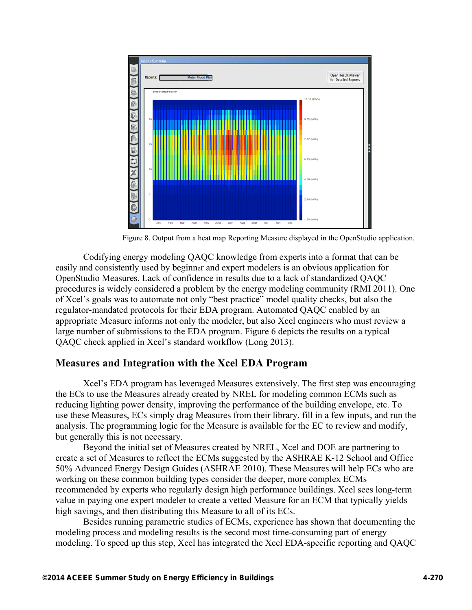

Figure 8. Output from a heat map Reporting Measure displayed in the OpenStudio application.

Codifying energy modeling QAQC knowledge from experts into a format that can be easily and consistently used by beginner and expert modelers is an obvious application for OpenStudio Measures. Lack of confidence in results due to a lack of standardized QAQC procedures is widely considered a problem by the energy modeling community (RMI 2011). One of Xcel's goals was to automate not only "best practice" model quality checks, but also the regulator-mandated protocols for their EDA program. Automated QAQC enabled by an appropriate Measure informs not only the modeler, but also Xcel engineers who must review a large number of submissions to the EDA program. Figure 6 depicts the results on a typical QAQC check applied in Xcel's standard workflow (Long 2013).

## **Measures and Integration with the Xcel EDA Program**

Xcel's EDA program has leveraged Measures extensively. The first step was encouraging the ECs to use the Measures already created by NREL for modeling common ECMs such as reducing lighting power density, improving the performance of the building envelope, etc. To use these Measures, ECs simply drag Measures from their library, fill in a few inputs, and run the analysis. The programming logic for the Measure is available for the EC to review and modify, but generally this is not necessary.

Beyond the initial set of Measures created by NREL, Xcel and DOE are partnering to create a set of Measures to reflect the ECMs suggested by the ASHRAE K-12 School and Office 50% Advanced Energy Design Guides (ASHRAE 2010). These Measures will help ECs who are working on these common building types consider the deeper, more complex ECMs recommended by experts who regularly design high performance buildings. Xcel sees long-term value in paying one expert modeler to create a vetted Measure for an ECM that typically yields high savings, and then distributing this Measure to all of its ECs.

Besides running parametric studies of ECMs, experience has shown that documenting the modeling process and modeling results is the second most time-consuming part of energy modeling. To speed up this step, Xcel has integrated the Xcel EDA-specific reporting and QAQC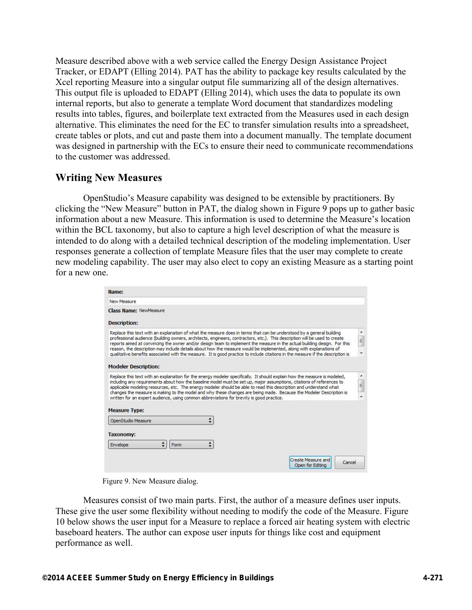Measure described above with a web service called the Energy Design Assistance Project Tracker, or EDAPT (Elling 2014). PAT has the ability to package key results calculated by the Xcel reporting Measure into a singular output file summarizing all of the design alternatives. This output file is uploaded to EDAPT (Elling 2014), which uses the data to populate its own internal reports, but also to generate a template Word document that standardizes modeling results into tables, figures, and boilerplate text extracted from the Measures used in each design alternative. This eliminates the need for the EC to transfer simulation results into a spreadsheet, create tables or plots, and cut and paste them into a document manually. The template document was designed in partnership with the ECs to ensure their need to communicate recommendations to the customer was addressed.

### **Writing New Measures**

OpenStudio's Measure capability was designed to be extensible by practitioners. By clicking the "New Measure" button in PAT, the dialog shown in Figure 9 pops up to gather basic information about a new Measure. This information is used to determine the Measure's location within the BCL taxonomy, but also to capture a high level description of what the measure is intended to do along with a detailed technical description of the modeling implementation. User responses generate a collection of template Measure files that the user may complete to create new modeling capability. The user may also elect to copy an existing Measure as a starting point for a new one.

| New Measure<br><b>Class Name: NewMeasure</b><br><b>Description:</b><br>Replace this text with an explanation of what the measure does in terms that can be understood by a general building<br>professional audience (building owners, architects, engineers, contractors, etc.). This description will be used to create                                                                                                                                                                                                                                                                  |                                                                                                                                 |
|--------------------------------------------------------------------------------------------------------------------------------------------------------------------------------------------------------------------------------------------------------------------------------------------------------------------------------------------------------------------------------------------------------------------------------------------------------------------------------------------------------------------------------------------------------------------------------------------|---------------------------------------------------------------------------------------------------------------------------------|
|                                                                                                                                                                                                                                                                                                                                                                                                                                                                                                                                                                                            |                                                                                                                                 |
|                                                                                                                                                                                                                                                                                                                                                                                                                                                                                                                                                                                            |                                                                                                                                 |
|                                                                                                                                                                                                                                                                                                                                                                                                                                                                                                                                                                                            |                                                                                                                                 |
| reason, the description may include details about how the measure would be implemented, along with explanations of<br>qualitative benefits associated with the measure. It is good practice to include citations in the measure if the description is<br><b>Modeler Description:</b>                                                                                                                                                                                                                                                                                                       | E.<br>reports aimed at convincing the owner and/or design team to implement the measure in the actual building design. For this |
| Replace this text with an explanation for the energy modeler specifically. It should explain how the measure is modeled,<br>including any requirements about how the baseline model must be set up, major assumptions, citations of references to<br>applicable modeling resources, etc. The energy modeler should be able to read this description and understand what<br>changes the measure is making to the model and why these changes are being made. Because the Modeler Description is<br>written for an expert audience, using common abbreviations for brevity is good practice. | ×                                                                                                                               |
| <b>Measure Type:</b>                                                                                                                                                                                                                                                                                                                                                                                                                                                                                                                                                                       |                                                                                                                                 |
| OpenStudio Measure                                                                                                                                                                                                                                                                                                                                                                                                                                                                                                                                                                         |                                                                                                                                 |
|                                                                                                                                                                                                                                                                                                                                                                                                                                                                                                                                                                                            |                                                                                                                                 |
| <b>Taxonomy:</b>                                                                                                                                                                                                                                                                                                                                                                                                                                                                                                                                                                           |                                                                                                                                 |

Figure 9. New Measure dialog.

Measures consist of two main parts. First, the author of a measure defines user inputs. These give the user some flexibility without needing to modify the code of the Measure. Figure 10 below shows the user input for a Measure to replace a forced air heating system with electric baseboard heaters. The author can expose user inputs for things like cost and equipment performance as well.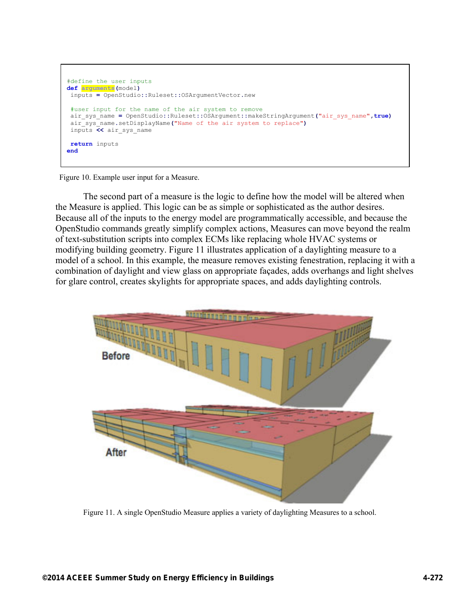```
#define the user inputs
def arguments(model)
 inputs = OpenStudio::Ruleset::OSArgumentVector.new 
 #user input for the name of the air system to remove
  air_sys_name = OpenStudio::Ruleset::OSArgument::makeStringArgument("air_sys_name",true)
  air_sys_name.setDisplayName("Name of the air system to replace")
  inputs << air_sys_name 
 return inputs
end
```
Figure 10. Example user input for a Measure.

The second part of a measure is the logic to define how the model will be altered when the Measure is applied. This logic can be as simple or sophisticated as the author desires. Because all of the inputs to the energy model are programmatically accessible, and because the OpenStudio commands greatly simplify complex actions, Measures can move beyond the realm of text-substitution scripts into complex ECMs like replacing whole HVAC systems or modifying building geometry. Figure 11 illustrates application of a daylighting measure to a model of a school. In this example, the measure removes existing fenestration, replacing it with a combination of daylight and view glass on appropriate façades, adds overhangs and light shelves for glare control, creates skylights for appropriate spaces, and adds daylighting controls.



Figure 11. A single OpenStudio Measure applies a variety of daylighting Measures to a school.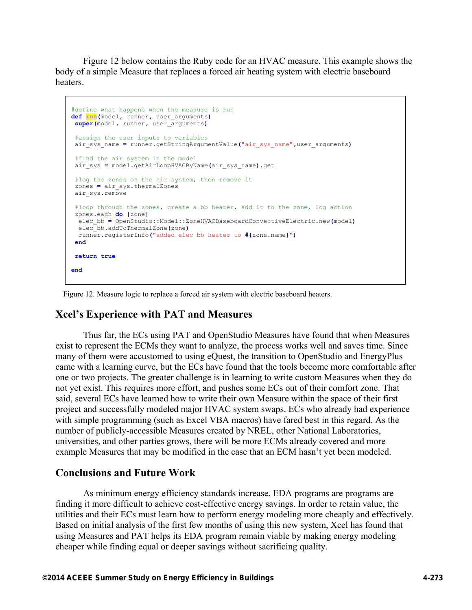Figure 12 below contains the Ruby code for an HVAC measure. This example shows the body of a simple Measure that replaces a forced air heating system with electric baseboard heaters.

```
#define what happens when the measure is run
def run(model, runner, user_arguments)
super(model, runner, user_arguments)
 #assign the user inputs to variables
 air_sys_name = runner.getStringArgumentValue("air_sys_name",user_arguments)
 #find the air system in the model
 air_sys = model.getAirLoopHVACByName(air_sys_name).get 
#log the zones on the air system, then remove it
 zones = air_sys.thermalZones 
 air_sys.remove 
#loop through the zones, create a bb heater, add it to the zone, log action
 zones.each do |zone|
  elec_bb = OpenStudio::Model::ZoneHVACBaseboardConvectiveElectric.new(model)
  elec_bb.addToThermalZone(zone)
  runner.registerInfo("added elec bb heater to #{zone.name}")
end
return true
end
```
Figure 12. Measure logic to replace a forced air system with electric baseboard heaters.

## **Xcel's Experience with PAT and Measures**

Thus far, the ECs using PAT and OpenStudio Measures have found that when Measures exist to represent the ECMs they want to analyze, the process works well and saves time. Since many of them were accustomed to using eQuest, the transition to OpenStudio and EnergyPlus came with a learning curve, but the ECs have found that the tools become more comfortable after one or two projects. The greater challenge is in learning to write custom Measures when they do not yet exist. This requires more effort, and pushes some ECs out of their comfort zone. That said, several ECs have learned how to write their own Measure within the space of their first project and successfully modeled major HVAC system swaps. ECs who already had experience with simple programming (such as Excel VBA macros) have fared best in this regard. As the number of publicly-accessible Measures created by NREL, other National Laboratories, universities, and other parties grows, there will be more ECMs already covered and more example Measures that may be modified in the case that an ECM hasn't yet been modeled.

### **Conclusions and Future Work**

As minimum energy efficiency standards increase, EDA programs are programs are finding it more difficult to achieve cost-effective energy savings. In order to retain value, the utilities and their ECs must learn how to perform energy modeling more cheaply and effectively. Based on initial analysis of the first few months of using this new system, Xcel has found that using Measures and PAT helps its EDA program remain viable by making energy modeling cheaper while finding equal or deeper savings without sacrificing quality.